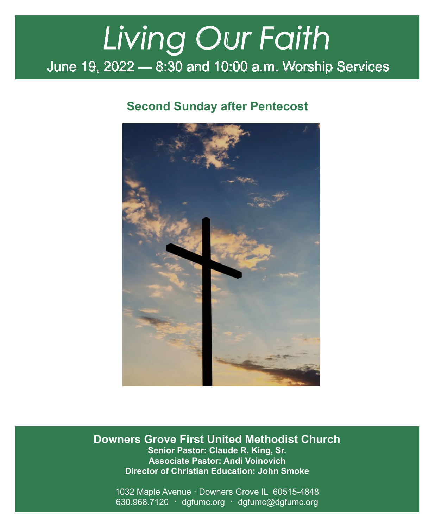# June 19, 2022 — 8:30 and 10:00 a.m. Worship Services *Living Our Faith*

# **Second Sunday after Pentecost**



**Downers Grove First United Methodist Church Senior Pastor: Claude R. King, Sr. Associate Pastor: Andi Voinovich Director of Christian Education: John Smoke**

1032 Maple Avenue · Downers Grove IL 60515-4848 630.968.7120 · dgfumc.org · dgfumc@dgfumc.org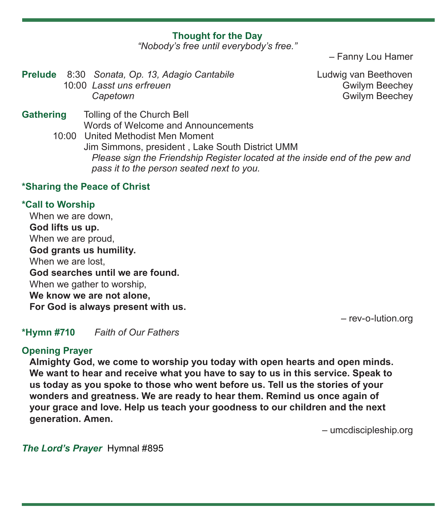# **Thought for the Day**

*"Nobody's free until everybody's free."*

– Fanny Lou Hamer

**Prelude** 8:30 *Sonata, Op. 13, Adagio Cantabile* Ludwig van Beethoven 10:00 *Lasst uns erfreuen Capetown* **Capetown Capetown Capetown Capetown Capetown Capetown Capetown Capetown Capetown Capetown Capetown Capetown Capetown Capetown Capetown Capetown Capetown Capetown Capetown**

**Gathering** Tolling of the Church Bell Words of Welcome and Announcements 10:00 United Methodist Men Moment Jim Simmons, president , Lake South District UMM

 *Please sign the Friendship Register located at the inside end of the pew and pass it to the person seated next to you.*

## **\*Sharing the Peace of Christ**

## **\*Call to Worship**

When we are down, **God lifts us up.** When we are proud, **God grants us humility.** When we are lost, **God searches until we are found.** When we gather to worship, **We know we are not alone, For God is always present with us.**

– rev-o-lution.org

**\*Hymn #710** *Faith of Our Fathers*

## **Opening Prayer**

**Almighty God, we come to worship you today with open hearts and open minds. We want to hear and receive what you have to say to us in this service. Speak to us today as you spoke to those who went before us. Tell us the stories of your wonders and greatness. We are ready to hear them. Remind us once again of your grace and love. Help us teach your goodness to our children and the next generation. Amen.** 

– umcdiscipleship.org

*The Lord's Prayer* Hymnal #895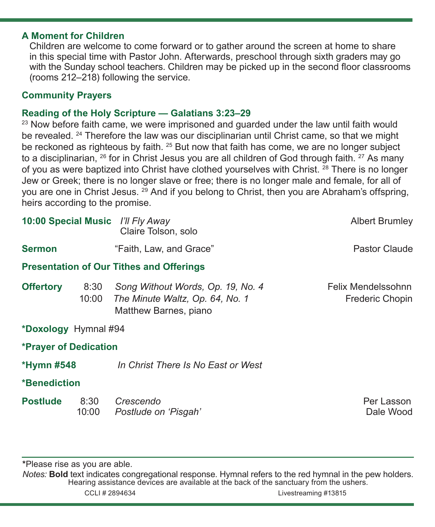## **A Moment for Children**

Children are welcome to come forward or to gather around the screen at home to share in this special time with Pastor John. Afterwards, preschool through sixth graders may go with the Sunday school teachers. Children may be picked up in the second floor classrooms (rooms 212–218) following the service.

# **Community Prayers**

## **Reading of the Holy Scripture — Galatians 3:23–29**

<sup>23</sup> Now before faith came, we were imprisoned and guarded under the law until faith would be revealed. <sup>24</sup> Therefore the law was our disciplinarian until Christ came, so that we might be reckoned as righteous by faith. <sup>25</sup> But now that faith has come, we are no longer subject to a disciplinarian,  $^{26}$  for in Christ Jesus you are all children of God through faith.  $^{27}$  As many of you as were baptized into Christ have clothed yourselves with Christ. <sup>28</sup> There is no longer Jew or Greek; there is no longer slave or free; there is no longer male and female, for all of you are one in Christ Jesus. 29 And if you belong to Christ, then you are Abraham's offspring, heirs according to the promise.

|                                                 |               | 10:00 Special Music I'll Fly Away<br>Claire Tolson, solo                                      | <b>Albert Brumley</b>                        |
|-------------------------------------------------|---------------|-----------------------------------------------------------------------------------------------|----------------------------------------------|
| <b>Sermon</b>                                   |               | "Faith, Law, and Grace"                                                                       | Pastor Claude                                |
| <b>Presentation of Our Tithes and Offerings</b> |               |                                                                                               |                                              |
| <b>Offertory</b>                                | 8:30<br>10:00 | Song Without Words, Op. 19, No. 4<br>The Minute Waltz, Op. 64, No. 1<br>Matthew Barnes, piano | Felix Mendelssohnn<br><b>Frederic Chopin</b> |
| *Doxology Hymnal #94                            |               |                                                                                               |                                              |
| <b>*Prayer of Dedication</b>                    |               |                                                                                               |                                              |
| <b>*Hymn #548</b>                               |               | In Christ There Is No East or West                                                            |                                              |
| <b>*Benediction</b>                             |               |                                                                                               |                                              |
| <b>Postlude</b>                                 | 8:30<br>10:00 | Crescendo<br>Postlude on 'Pisgah'                                                             | Per Lasson<br>Dale Wood                      |

**\***Please rise as you are able.

*Notes:* **Bold** text indicates congregational response. Hymnal refers to the red hymnal in the pew holders. Hearing assistance devices are available at the back of the sanctuary from the ushers. CCLI # 2894634 Livestreaming #13815